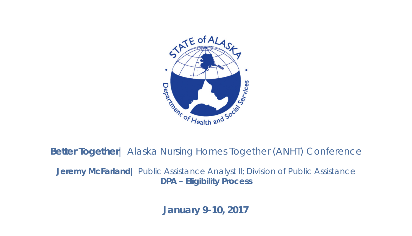

**Better Together**| Alaska Nursing Homes Together (ANHT) Conference

**Jeremy McFarland** | Public Assistance Analyst II; Division of Public Assistance **DPA – Eligibility Process**

**January 9-10, 2017**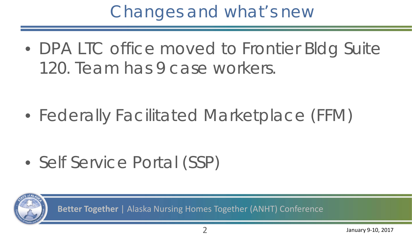#### Changes and what's new

• DPA LTC office moved to Frontier Bldg Suite 120. Team has 9 case workers.

• Federally Facilitated Marketplace (FFM)

• Self Service Portal (SSP)

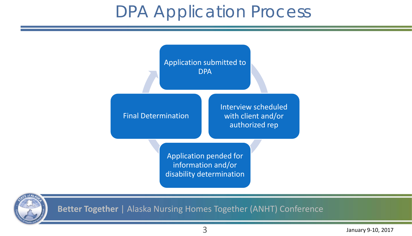#### DPA Application Process



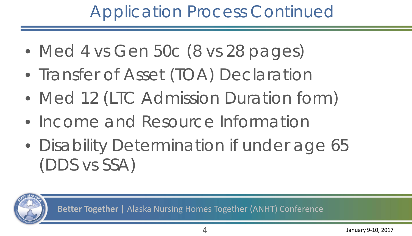## Application Process Continued

- Med 4 vs Gen 50c (8 vs 28 pages)
- Transfer of Asset (TOA) Declaration
- Med 12 (LTC Admission Duration form)
- Income and Resource Information
- Disability Determination if under age 65 (DDS vs SSA)

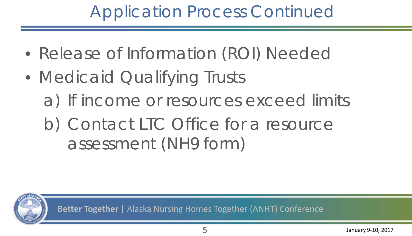## Application Process Continued

- Release of Information (ROI) Needed
- Medicaid Qualifying Trusts a) If income or resources exceed limits b) Contact LTC Office for a resource assessment (NH9 form)

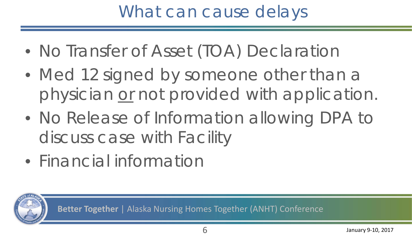## What can cause delays

- No Transfer of Asset (TOA) Declaration
- Med 12 signed by someone other than a physician *or* not provided with application.
- No Release of Information allowing DPA to discuss case with Facility
- Financial information

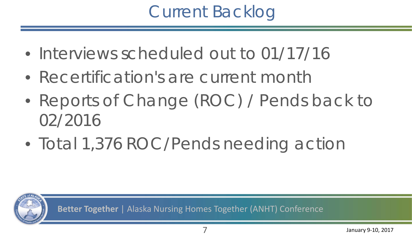## Current Backlog

- Interviews scheduled out to 01/17/16
- Recertification's are current month
- Reports of Change (ROC) / Pends back to 02/2016
- Total 1,376 ROC/Pends needing action

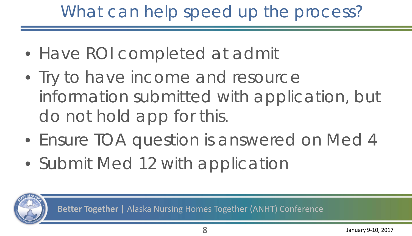# What can help speed up the process?

- Have ROI completed at admit
- Try to have income and resource information submitted with application, but do not hold app for this.
- Ensure TOA question is answered on Med 4
- Submit Med 12 with application

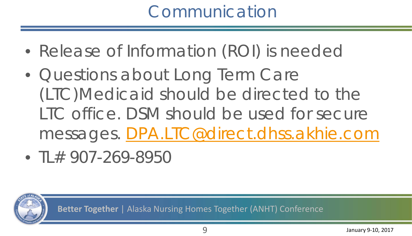### Communication

- Release of Information (ROI) is needed
- Questions about Long Term Care (LTC)Medicaid should be directed to the LTC office. DSM should be used for secure messages. [DPA.LTC@direct.dhss.akhie.com](mailto:DPA.LTC@direct.dhss.akhie.com)
- TL $#$  907-269-8950